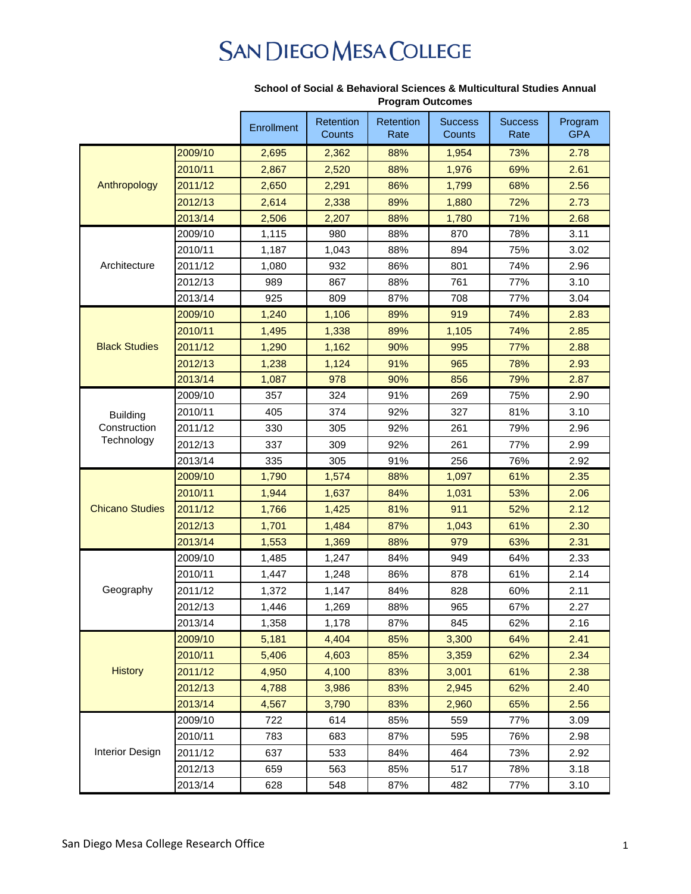## **SAN DIEGO MESA COLLEGE**

|                            |         | Enrollment | Retention | Retention | <b>Success</b> | <b>Success</b> | Program    |
|----------------------------|---------|------------|-----------|-----------|----------------|----------------|------------|
|                            |         |            | Counts    | Rate      | Counts         | Rate           | <b>GPA</b> |
| Anthropology               | 2009/10 | 2,695      | 2,362     | 88%       | 1,954          | 73%            | 2.78       |
|                            | 2010/11 | 2,867      | 2,520     | 88%       | 1,976          | 69%            | 2.61       |
|                            | 2011/12 | 2,650      | 2,291     | 86%       | 1,799          | 68%            | 2.56       |
|                            | 2012/13 | 2,614      | 2,338     | 89%       | 1,880          | 72%            | 2.73       |
|                            | 2013/14 | 2,506      | 2,207     | 88%       | 1,780          | 71%            | 2.68       |
| Architecture               | 2009/10 | 1,115      | 980       | 88%       | 870            | 78%            | 3.11       |
|                            | 2010/11 | 1,187      | 1,043     | 88%       | 894            | 75%            | 3.02       |
|                            | 2011/12 | 1,080      | 932       | 86%       | 801            | 74%            | 2.96       |
|                            | 2012/13 | 989        | 867       | 88%       | 761            | 77%            | 3.10       |
|                            | 2013/14 | 925        | 809       | 87%       | 708            | 77%            | 3.04       |
| <b>Black Studies</b>       | 2009/10 | 1,240      | 1,106     | 89%       | 919            | 74%            | 2.83       |
|                            | 2010/11 | 1,495      | 1,338     | 89%       | 1,105          | 74%            | 2.85       |
|                            | 2011/12 | 1,290      | 1,162     | 90%       | 995            | 77%            | 2.88       |
|                            | 2012/13 | 1,238      | 1,124     | 91%       | 965            | 78%            | 2.93       |
|                            | 2013/14 | 1,087      | 978       | 90%       | 856            | 79%            | 2.87       |
|                            | 2009/10 | 357        | 324       | 91%       | 269            | 75%            | 2.90       |
| <b>Building</b>            | 2010/11 | 405        | 374       | 92%       | 327            | 81%            | 3.10       |
| Construction<br>Technology | 2011/12 | 330        | 305       | 92%       | 261            | 79%            | 2.96       |
|                            | 2012/13 | 337        | 309       | 92%       | 261            | 77%            | 2.99       |
|                            | 2013/14 | 335        | 305       | 91%       | 256            | 76%            | 2.92       |
|                            | 2009/10 | 1,790      | 1,574     | 88%       | 1,097          | 61%            | 2.35       |
|                            | 2010/11 | 1,944      | 1,637     | 84%       | 1,031          | 53%            | 2.06       |
| <b>Chicano Studies</b>     | 2011/12 | 1,766      | 1,425     | 81%       | 911            | 52%            | 2.12       |
|                            | 2012/13 | 1,701      | 1,484     | 87%       | 1,043          | 61%            | 2.30       |
|                            | 2013/14 | 1,553      | 1,369     | 88%       | 979            | 63%            | 2.31       |
| Geography                  | 2009/10 | 1,485      | 1,247     | 84%       | 949            | 64%            | 2.33       |
|                            | 2010/11 | 1,447      | 1,248     | 86%       | 878            | 61%            | 2.14       |
|                            | 2011/12 | 1,372      | 1,147     | 84%       | 828            | 60%            | 2.11       |
|                            | 2012/13 | 1,446      | 1,269     | 88%       | 965            | 67%            | 2.27       |
|                            | 2013/14 | 1,358      | 1,178     | 87%       | 845            | 62%            | 2.16       |
| <b>History</b>             | 2009/10 | 5,181      | 4,404     | 85%       | 3,300          | 64%            | 2.41       |
|                            | 2010/11 | 5,406      | 4,603     | 85%       | 3,359          | 62%            | 2.34       |
|                            | 2011/12 | 4,950      | 4,100     | 83%       | 3,001          | 61%            | 2.38       |
|                            | 2012/13 | 4,788      | 3,986     | 83%       | 2,945          | 62%            | 2.40       |
|                            | 2013/14 | 4,567      | 3,790     | 83%       | 2,960          | 65%            | 2.56       |
| <b>Interior Design</b>     | 2009/10 | 722        | 614       | 85%       | 559            | 77%            | 3.09       |
|                            | 2010/11 | 783        | 683       | 87%       | 595            | 76%            | 2.98       |
|                            | 2011/12 | 637        | 533       | 84%       | 464            | 73%            | 2.92       |
|                            | 2012/13 | 659        | 563       | 85%       | 517            | 78%            | 3.18       |
|                            | 2013/14 | 628        | 548       | 87%       | 482            | 77%            | 3.10       |

## **School of Social & Behavioral Sciences & Multicultural Studies Annual Program Outcomes**